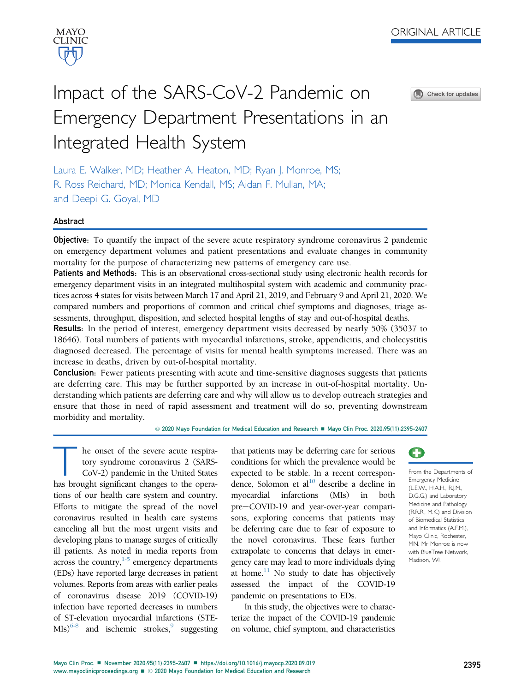



# Impact of the SARS-CoV-2 Pandemic on Emergency Department Presentations in an Integrated Health System

Laura E. Walker, MD; Heather A. Heaton, MD; Ryan J. Monroe, MS; R. Ross Reichard, MD; Monica Kendall, MS; Aidan F. Mullan, MA; and Deepi G. Goyal, MD

## Abstract

Objective: To quantify the impact of the severe acute respiratory syndrome coronavirus 2 pandemic on emergency department volumes and patient presentations and evaluate changes in community mortality for the purpose of characterizing new patterns of emergency care use.

Patients and Methods: This is an observational cross-sectional study using electronic health records for emergency department visits in an integrated multihospital system with academic and community practices across 4 states for visits between March 17 and April 21, 2019, and February 9 and April 21, 2020. We compared numbers and proportions of common and critical chief symptoms and diagnoses, triage assessments, throughput, disposition, and selected hospital lengths of stay and out-of-hospital deaths.

Results: In the period of interest, emergency department visits decreased by nearly 50% (35037 to 18646). Total numbers of patients with myocardial infarctions, stroke, appendicitis, and cholecystitis diagnosed decreased. The percentage of visits for mental health symptoms increased. There was an increase in deaths, driven by out-of-hospital mortality.

Conclusion: Fewer patients presenting with acute and time-sensitive diagnoses suggests that patients are deferring care. This may be further supported by an increase in out-of-hospital mortality. Understanding which patients are deferring care and why will allow us to develop outreach strategies and ensure that those in need of rapid assessment and treatment will do so, preventing downstream morbidity and mortality.

© 2020 Mayo Foundation for Medical Education and Research ■ Mayo Clin Proc. 2020;95(11):2395-2407

The onset of the severe acute respira-<br>tory syndrome coronavirus 2 (SARS-<br>CoV-2) pandemic in the United States<br>has brought significant changes to the operatory syndrome coronavirus 2 (SARS-CoV-2) pandemic in the United States has brought significant changes to the operations of our health care system and country. Efforts to mitigate the spread of the novel coronavirus resulted in health care systems canceling all but the most urgent visits and developing plans to manage surges of critically ill patients. As noted in media reports from across the country, $1-5$  emergency departments (EDs) have reported large decreases in patient volumes. Reports from areas with earlier peaks of coronavirus disease 2019 (COVID-19) infection have reported decreases in numbers of ST-elevation myocardial infarctions (STE- $MIs)^{6-8}$  and ischemic strokes,<sup>[9](#page-12-2)</sup> suggesting that patients may be deferring care for serious conditions for which the prevalence would be expected to be stable. In a recent correspondence, Solomon et al $^{10}$  describe a decline in myocardial infarctions (MIs) in both pre-COVID-19 and year-over-year comparisons, exploring concerns that patients may be deferring care due to fear of exposure to the novel coronavirus. These fears further extrapolate to concerns that delays in emergency care may lead to more individuals dying at home. $11$  No study to date has objectively assessed the impact of the COVID-19 pandemic on presentations to EDs.

In this study, the objectives were to characterize the impact of the COVID-19 pandemic on volume, chief symptom, and characteristics



From the Departments of Emergency Medicine (L.E.W., H.A.H., R.J.M., D.G.G.) and Laboratory Medicine and Pathology (R.R.R., M.K.) and Division of Biomedical Statistics and Informatics (A.F.M.), Mayo Clinic, Rochester, MN. Mr Monroe is now with BlueTree Network, Madison, WI.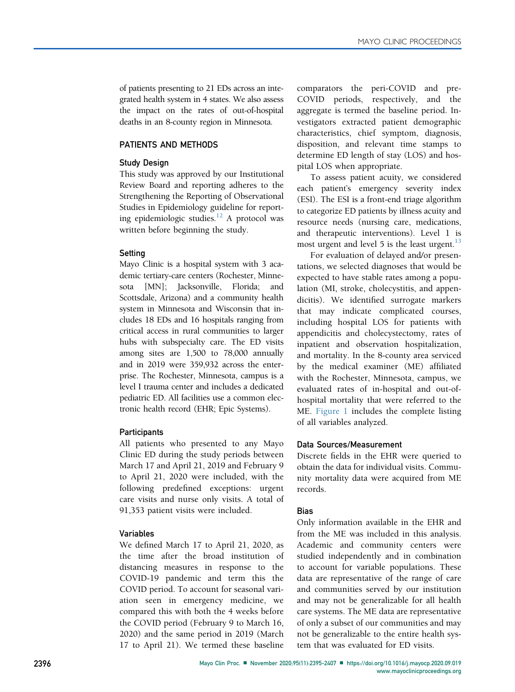of patients presenting to 21 EDs across an integrated health system in 4 states. We also assess the impact on the rates of out-of-hospital deaths in an 8-county region in Minnesota.

## PATIENTS AND METHODS

## Study Design

This study was approved by our Institutional Review Board and reporting adheres to the Strengthening the Reporting of Observational Studies in Epidemiology guideline for report-ing epidemiologic studies.<sup>[12](#page-12-5)</sup> A protocol was written before beginning the study.

## Setting

Mayo Clinic is a hospital system with 3 academic tertiary-care centers (Rochester, Minnesota [MN]; Jacksonville, Florida; and Scottsdale, Arizona) and a community health system in Minnesota and Wisconsin that includes 18 EDs and 16 hospitals ranging from critical access in rural communities to larger hubs with subspecialty care. The ED visits among sites are 1,500 to 78,000 annually and in 2019 were 359,932 across the enterprise. The Rochester, Minnesota, campus is a level I trauma center and includes a dedicated pediatric ED. All facilities use a common electronic health record (EHR; Epic Systems).

# **Participants**

All patients who presented to any Mayo Clinic ED during the study periods between March 17 and April 21, 2019 and February 9 to April 21, 2020 were included, with the following predefined exceptions: urgent care visits and nurse only visits. A total of 91,353 patient visits were included.

## Variables

We defined March 17 to April 21, 2020, as the time after the broad institution of distancing measures in response to the COVID-19 pandemic and term this the COVID period. To account for seasonal variation seen in emergency medicine, we compared this with both the 4 weeks before the COVID period (February 9 to March 16, 2020) and the same period in 2019 (March 17 to April 21). We termed these baseline comparators the peri-COVID and pre-COVID periods, respectively, and the aggregate is termed the baseline period. Investigators extracted patient demographic characteristics, chief symptom, diagnosis, disposition, and relevant time stamps to determine ED length of stay (LOS) and hospital LOS when appropriate.

To assess patient acuity, we considered each patient's emergency severity index (ESI). The ESI is a front-end triage algorithm to categorize ED patients by illness acuity and resource needs (nursing care, medications, and therapeutic interventions). Level 1 is most urgent and level 5 is the least urgent. $13$ 

For evaluation of delayed and/or presentations, we selected diagnoses that would be expected to have stable rates among a population (MI, stroke, cholecystitis, and appendicitis). We identified surrogate markers that may indicate complicated courses, including hospital LOS for patients with appendicitis and cholecystectomy, rates of inpatient and observation hospitalization, and mortality. In the 8-county area serviced by the medical examiner (ME) affiliated with the Rochester, Minnesota, campus, we evaluated rates of in-hospital and out-ofhospital mortality that were referred to the ME. [Figure 1](#page-2-0) includes the complete listing of all variables analyzed.

## Data Sources/Measurement

Discrete fields in the EHR were queried to obtain the data for individual visits. Community mortality data were acquired from ME records.

# Bias

Only information available in the EHR and from the ME was included in this analysis. Academic and community centers were studied independently and in combination to account for variable populations. These data are representative of the range of care and communities served by our institution and may not be generalizable for all health care systems. The ME data are representative of only a subset of our communities and may not be generalizable to the entire health system that was evaluated for ED visits.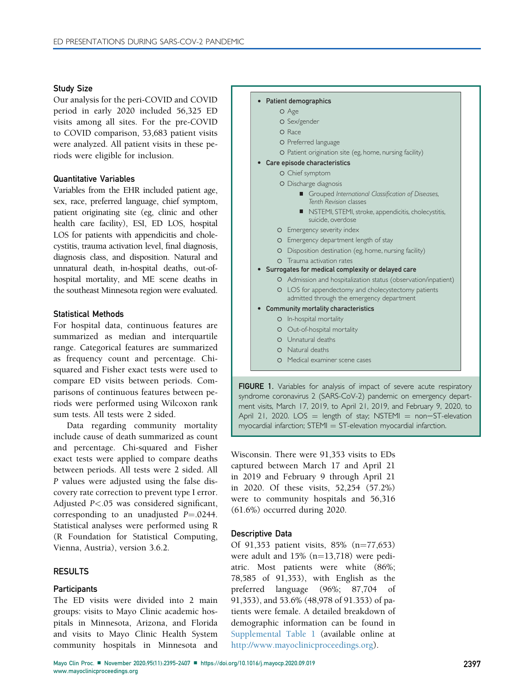## Study Size

Our analysis for the peri-COVID and COVID period in early 2020 included 56,325 ED visits among all sites. For the pre-COVID to COVID comparison, 53,683 patient visits were analyzed. All patient visits in these periods were eligible for inclusion.

## Quantitative Variables

Variables from the EHR included patient age, sex, race, preferred language, chief symptom, patient originating site (eg, clinic and other health care facility), ESI, ED LOS, hospital LOS for patients with appendicitis and cholecystitis, trauma activation level, final diagnosis, diagnosis class, and disposition. Natural and unnatural death, in-hospital deaths, out-ofhospital mortality, and ME scene deaths in the southeast Minnesota region were evaluated.

## Statistical Methods

For hospital data, continuous features are summarized as median and interquartile range. Categorical features are summarized as frequency count and percentage. Chisquared and Fisher exact tests were used to compare ED visits between periods. Comparisons of continuous features between periods were performed using Wilcoxon rank sum tests. All tests were 2 sided.

Data regarding community mortality include cause of death summarized as count and percentage. Chi-squared and Fisher exact tests were applied to compare deaths between periods. All tests were 2 sided. All P values were adjusted using the false discovery rate correction to prevent type I error. Adjusted P<.05 was considered significant, corresponding to an unadjusted  $P = 0.0244$ . Statistical analyses were performed using R (R Foundation for Statistical Computing, Vienna, Austria), version 3.6.2.

## RESULTS

## **Participants**

The ED visits were divided into 2 main groups: visits to Mayo Clinic academic hospitals in Minnesota, Arizona, and Florida and visits to Mayo Clinic Health System community hospitals in Minnesota and

## <span id="page-2-0"></span>• Patient demographics

- Age
- O Sex/gender O Race
- O Preferred language
- O Patient origination site (eg, home, nursing facility)

#### Care episode characteristics •

- Chief symptom
- O Discharge diagnosis
	- Grouped *International Classification of Diseases, Tenth Revision* classes
	- NSTEMI, STEMI, stroke, appendicitis, cholecystitis, suicide, overdose
- O Emergency severity index
- O Emergency department length of stay
- Disposition destination (eg, home, nursing facility)
- O Trauma activation rates

#### **•** Surrogates for medical complexity or delayed care

- Admission and hospitalization status (observation/inpatient)
- LOS for appendectomy and cholecystectomy patients admitted through the emergency department

#### Community mortality characteristics •

- O In-hospital mortality
- O Out-of-hospital mortality
- Unnatural deaths
- Natural deaths
- Medical examiner scene cases

FIGURE 1. Variables for analysis of impact of severe acute respiratory syndrome coronavirus 2 (SARS-CoV-2) pandemic on emergency department visits, March 17, 2019, to April 21, 2019, and February 9, 2020, to April 21, 2020. LOS = length of stay; NSTEMI = non-ST-elevation myocardial infarction;  $STEMI = ST-elevation$  myocardial infarction.

Wisconsin. There were 91,353 visits to EDs captured between March 17 and April 21 in 2019 and February 9 through April 21 in 2020. Of these visits, 52,254 (57.2%) were to community hospitals and 56,316 (61.6%) occurred during 2020.

## Descriptive Data

Of 91,353 patient visits,  $85\%$  (n=77,653) were adult and  $15\%$  (n=13,718) were pediatric. Most patients were white (86%; 78,585 of 91,353), with English as the preferred language (96%; 87,704 of 91,353), and 53.6% (48,978 of 91.353) of patients were female. A detailed breakdown of demographic information can be found in Supplemental Table 1 (available online at <http://www.mayoclinicproceedings.org>).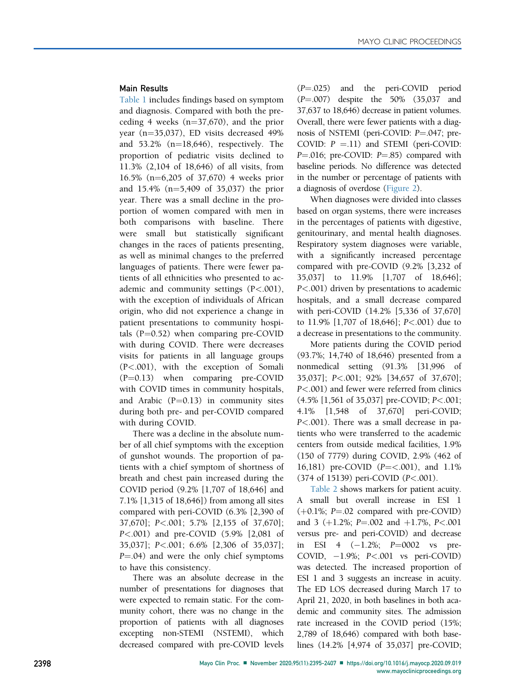## Main Results

[Table 1](#page-4-0) includes findings based on symptom and diagnosis. Compared with both the preceding 4 weeks  $(n=37,670)$ , and the prior year  $(n=35,037)$ , ED visits decreased 49% and  $53.2\%$  (n=18,646), respectively. The proportion of pediatric visits declined to 11.3% (2,104 of 18,646) of all visits, from 16.5% (n=6,205 of 37,670) 4 weeks prior and  $15.4\%$  (n=5,409 of 35,037) the prior year. There was a small decline in the proportion of women compared with men in both comparisons with baseline. There were small but statistically significant changes in the races of patients presenting, as well as minimal changes to the preferred languages of patients. There were fewer patients of all ethnicities who presented to academic and community settings (P<.001), with the exception of individuals of African origin, who did not experience a change in patient presentations to community hospitals  $(P=0.52)$  when comparing pre-COVID with during COVID. There were decreases visits for patients in all language groups (P<.001), with the exception of Somali  $(P=0.13)$  when comparing pre-COVID with COVID times in community hospitals, and Arabic  $(P=0.13)$  in community sites during both pre- and per-COVID compared with during COVID.

There was a decline in the absolute number of all chief symptoms with the exception of gunshot wounds. The proportion of patients with a chief symptom of shortness of breath and chest pain increased during the COVID period (9.2% [1,707 of 18,646] and 7.1% [1,315 of 18,646]) from among all sites compared with peri-COVID (6.3% [2,390 of 37,670]; P<.001; 5.7% [2,155 of 37,670]; P<.001) and pre-COVID (5.9% [2,081 of 35,037]; P<.001; 6.6% [2,306 of 35,037];  $P = .04$ ) and were the only chief symptoms to have this consistency.

There was an absolute decrease in the number of presentations for diagnoses that were expected to remain static. For the community cohort, there was no change in the proportion of patients with all diagnoses excepting non-STEMI (NSTEMI), which decreased compared with pre-COVID levels  $(P=.025)$  and the peri-COVID period (P¼.007) despite the 50% (35,037 and 37,637 to 18,646) decrease in patient volumes. Overall, there were fewer patients with a diagnosis of NSTEMI (peri-COVID:  $P = .047$ ; pre-COVID:  $P = .11$ ) and STEMI (peri-COVID:  $P = .016$ ; pre-COVID:  $P = .85$ ) compared with baseline periods. No difference was detected in the number or percentage of patients with a diagnosis of overdose [\(Figure 2](#page-8-0)).

When diagnoses were divided into classes based on organ systems, there were increases in the percentages of patients with digestive, genitourinary, and mental health diagnoses. Respiratory system diagnoses were variable, with a significantly increased percentage compared with pre-COVID (9.2% [3,232 of 35,037] to 11.9% [1,707 of 18,646]; P<.001) driven by presentations to academic hospitals, and a small decrease compared with peri-COVID (14.2% [5,336 of 37,670] to 11.9% [1,707 of 18,646]; P<.001) due to a decrease in presentations to the community.

More patients during the COVID period (93.7%; 14,740 of 18,646) presented from a nonmedical setting (91.3% [31,996 of 35,037]; P<.001; 92% [34,657 of 37,670]; P<.001) and fewer were referred from clinics (4.5% [1,561 of 35,037] pre-COVID; P<.001; 4.1% [1,548 of 37,670] peri-COVID; P<.001). There was a small decrease in patients who were transferred to the academic centers from outside medical facilities, 1.9% (150 of 7779) during COVID, 2.9% (462 of 16,181) pre-COVID ( $P = < .001$ ), and 1.1% (374 of 15139) peri-COVID (P<.001).

[Table 2](#page-9-0) shows markers for patient acuity. A small but overall increase in ESI 1  $(+0.1\%; P=.02$  compared with pre-COVID) and 3  $(+1.2\%; P=.002$  and  $+1.7\%$ , P<.001 versus pre- and peri-COVID) and decrease in ESI 4  $(-1.2\%;$  P=0002 vs pre-COVID, -1.9%; P<.001 vs peri-COVID) was detected. The increased proportion of ESI 1 and 3 suggests an increase in acuity. The ED LOS decreased during March 17 to April 21, 2020, in both baselines in both academic and community sites. The admission rate increased in the COVID period (15%; 2,789 of 18,646) compared with both baselines (14.2% [4,974 of 35,037] pre-COVID;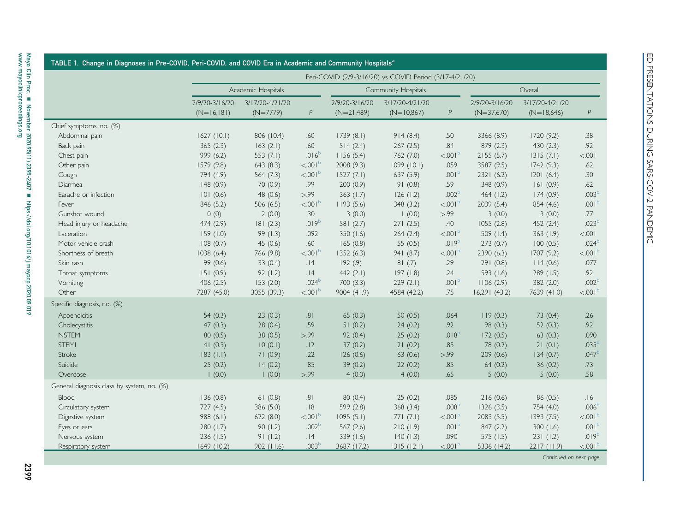| ו<br>ו<br>ı                        |
|------------------------------------|
| ı<br>j<br>Į<br>Í<br>ı<br>1<br>1    |
| j                                  |
| 5                                  |
| こうこう りりこうりょう りり・イ<br>$\frac{1}{2}$ |
|                                    |
| ī                                  |
|                                    |
| Ï                                  |
| $\frac{1}{2}$<br>ı                 |
| <br> <br> <br>                     |
| j                                  |

<span id="page-4-0"></span>

|                                            |                                |                               |                        |                                | Peri-COVID (2/9-3/16/20) vs COVID Period (3/17-4/21/20) |                      |                                |                                 |                    |
|--------------------------------------------|--------------------------------|-------------------------------|------------------------|--------------------------------|---------------------------------------------------------|----------------------|--------------------------------|---------------------------------|--------------------|
|                                            |                                | Academic Hospitals            |                        |                                | <b>Community Hospitals</b>                              |                      |                                | Overall                         |                    |
|                                            | 2/9/20-3/16/20<br>$(N=16,181)$ | 3/17/20-4/21/20<br>$(N=7779)$ | P                      | 2/9/20-3/16/20<br>$(N=21,489)$ | 3/17/20-4/21/20<br>$(N=10,867)$                         | P                    | 2/9/20-3/16/20<br>$(N=37,670)$ | 3/17/20-4/21/20<br>$(N=18,646)$ | P                  |
| Chief symptoms, no. (%)                    |                                |                               |                        |                                |                                                         |                      |                                |                                 |                    |
| Abdominal pain                             | 1627(10.1)                     | 806 (10.4)                    | .60                    | 1739(8.1)                      | 914(8.4)                                                | .50                  | 3366 (8.9)                     | 1720(9.2)                       | .38                |
| Back pain                                  | 365(2.3)                       | 163(2.1)                      | .60                    | 514(2.4)                       | 267(2.5)                                                | .84                  | 879 (2.3)                      | 430(2.3)                        | .92                |
| Chest pain                                 | 999 (6.2)                      | 553 $(7.1)$                   | $.016^{b}$             | 1156(5.4)                      | 762 (7.0)                                               | < 001 <sup>b</sup>   | 2155(5.7)                      | 1315(7.1)                       | < 0.001            |
| Other pain                                 | 1579 (9.8)                     | 643(8.3)                      | < 0.01 <sup>b</sup>    | 2008(9.3)                      | 1099(10.1)                                              | .059                 | 3587 (9.5)                     | 1742(9.3)                       | .62                |
| Cough                                      | 794 (4.9)                      | 564(7.3)                      | $< 0.001$ <sup>b</sup> | 1527(7.1)                      | 637(5.9)                                                | .001 <sup>b</sup>    | 2321(6.2)                      | 1201(6.4)                       | .30                |
| Diarrhea                                   | 148(0.9)                       | 70 (0.9)                      | .99                    | 200(0.9)                       | 91(0.8)                                                 | .59                  | 348 (0.9)                      | 161(0.9)                        | .62                |
| Earache or infection                       | 101(0.6)                       | 48 (0.6)                      | > .99                  | 363(1.7)                       | 126(1.2)                                                | .002 <sup>b</sup>    | 464(1.2)                       | 174(0.9)                        | .003 <sup>b</sup>  |
| Fever                                      | 846 (5.2)                      | 506 (6.5)                     | < 0.01 <sup>b</sup>    | 1193(5.6)                      | 348 (3.2)                                               | < 0.001 <sup>b</sup> | 2039 (5.4)                     | 854 (4.6)                       | .001 <sup>b</sup>  |
| Gunshot wound                              | 0(0)                           | 2(0.0)                        | .30                    | 3(0.0)                         | (0.0)                                                   | > .99                | 3(0.0)                         | 3(0.0)                          | .77                |
| Head injury or headache                    | 474 (2.9)                      | 181(2.3)                      | .019 <sup>b</sup>      | 581 (2.7)                      | 271(2.5)                                                | .40                  | 1055(2.8)                      | 452 (2.4)                       | .023 <sup>b</sup>  |
| Laceration                                 | 159(1.0)                       | 99(1.3)                       | .092                   | 350(1.6)                       | 264(2.4)                                                | < 0.01 <sup>b</sup>  | 509(1.4)                       | 363(1.9)                        | 100.               |
| Motor vehicle crash                        | 108(0.7)                       | 45(0.6)                       | .60                    | 165(0.8)                       | 55 (0.5)                                                | $.019^{b}$           | 273(0.7)                       | 100(0.5)                        | .024 <sup>b</sup>  |
| Shortness of breath                        | 1038(6.4)                      | 766 (9.8)                     | < 0.01 <sup>b</sup>    | 1352 (6.3)                     | 941 (8.7)                                               | < 0.01 <sup>b</sup>  | 2390 (6.3)                     | 1707 (9.2)                      | < 001 <sup>b</sup> |
| Skin rash                                  | 99 (0.6)                       | 33(0.4)                       | .14                    | 192(9)                         | 81(.7)                                                  | .29                  | 291(0.8)                       | 114(0.6)                        | .077               |
| Throat symptoms                            | 151(0.9)                       | 92(1.2)                       | .14                    | 442 $(2.1)$                    | 197(1.8)                                                | .24                  | 593 $(1.6)$                    | 289(1.5)                        | .92                |
| Vomiting                                   | 406(2.5)                       | 153(2.0)                      | .024 <sup>b</sup>      | 700(3.3)                       | 229(2.1)                                                | .001 <sup>b</sup>    | 1106(2.9)                      | 382 (2.0)                       | .002 <sup>b</sup>  |
| Other                                      | 7287 (45.0)                    | 3055 (39.3)                   | < 0.01 <sup>b</sup>    | 9004 (41.9)                    | 4584 (42.2)                                             | .75                  | $16,291$ (43.2)                | 7639 (41.0)                     | < 001 <sup>b</sup> |
| Specific diagnosis, no. (%)                |                                |                               |                        |                                |                                                         |                      |                                |                                 |                    |
| Appendicitis                               | 54(0.3)                        | 23(0.3)                       | .81                    | 65(0.3)                        | 50(0.5)                                                 | .064                 | 119(0.3)                       | 73(0.4)                         | .26                |
| Cholecystitis                              | 47(0.3)                        | 28(0.4)                       | .59                    | 51(0.2)                        | 24(0.2)                                                 | .92                  | 98 (0.3)                       | 52(0.3)                         | .92                |
| <b>NSTEMI</b>                              | 80 (0.5)                       | 38(0.5)                       | > .99                  | 92 (0.4)                       | 25(0.2)                                                 | $.018^{b}$           | 172(0.5)                       | 63(0.3)                         | .090               |
| <b>STEMI</b>                               | 41(0.3)                        | 10(0.1)                       | .12                    | 37(0.2)                        | 21(0.2)                                                 | .85                  | 78 (0.2)                       | 21(0.1)                         | .035 <sup>b</sup>  |
| Stroke                                     | 183 (1.1)                      | 71(0.9)                       | .22                    | 126(0.6)                       | 63(0.6)                                                 | > .99                | 209(0.6)                       | 134(0.7)                        | .047 <sup>b</sup>  |
| Suicide                                    | 25(0.2)                        | 14(0.2)                       | .85                    | 39(0.2)                        | 22(0.2)                                                 | .85                  | 64(0.2)                        | 36(0.2)                         | .73                |
| Overdose                                   | (0.0)                          | (0.0)                         | > .99                  | 4(0.0)                         | 4(0.0)                                                  | .65                  | 5(0.0)                         | 5(0.0)                          | .58                |
| General diagnosis class by system, no. (%) |                                |                               |                        |                                |                                                         |                      |                                |                                 |                    |
| Blood                                      | 136(0.8)                       | 61(0.8)                       | .81                    | 80 (0.4)                       | 25(0.2)                                                 | .085                 | 216(0.6)                       | 86 (0.5)                        | .16                |
| Circulatory system                         | 727(4.5)                       | 386 (5.0)                     | .18                    | 599 (2.8)                      | 368(3.4)                                                | .008 <sup>b</sup>    | 1326(3.5)                      | 754 (4.0)                       | .006 <sup>b</sup>  |
| Digestive system                           | 988 (6.1)                      | 622(8.0)                      | < 001 <sup>b</sup>     | 1095(5.1)                      | 771(7.1)                                                | < 0.001 <sup>b</sup> | 2083 (5.5)                     | 1393(7.5)                       | < 001 <sup>b</sup> |
| Eyes or ears                               | 280(1.7)                       | 90(1.2)                       | .002 <sup>b</sup>      | 567(2.6)                       | 210(1.9)                                                | .001 <sup>b</sup>    | 847(2.2)                       | 300(1.6)                        | .001 <sup>b</sup>  |
| Nervous system                             | 236(1.5)                       | 91(1.2)                       | .14                    | 339 (1.6)                      | 140(1.3)                                                | .090                 | 575(1.5)                       | 231(1.2)                        | $.019^{b}$         |
| Respiratory system                         | 1649(10.2)                     | 902(11.6)                     | .003 <sup>b</sup>      | 3687 (17.2)                    | 1315(12.1)                                              | < 0.001              | 5336 (14.2)                    | 2217(11.9)                      | < 001 <sup>b</sup> |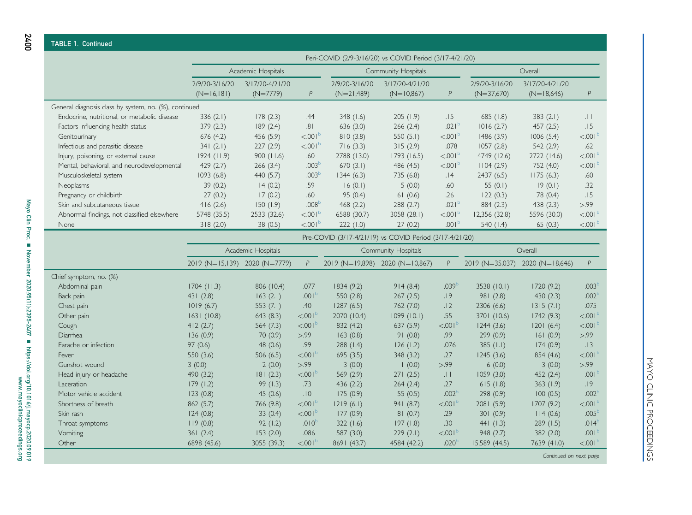2400

|                                                       |                                |                               |                        |                                | Peri-COVID (2/9-3/16/20) vs COVID Period (3/17-4/21/20) |                     |                                |                                 |                     |
|-------------------------------------------------------|--------------------------------|-------------------------------|------------------------|--------------------------------|---------------------------------------------------------|---------------------|--------------------------------|---------------------------------|---------------------|
|                                                       |                                | Academic Hospitals            |                        |                                | Community Hospitals                                     |                     |                                | Overall                         |                     |
|                                                       | 2/9/20-3/16/20<br>$(N=16,181)$ | 3/17/20-4/21/20<br>$(N=7779)$ | P                      | 2/9/20-3/16/20<br>$(N=21,489)$ | 3/17/20-4/21/20<br>$(N=10,867)$                         | P                   | 2/9/20-3/16/20<br>$(N=37,670)$ | 3/17/20-4/21/20<br>$(N=18,646)$ | P                   |
| General diagnosis class by system, no. (%), continued |                                |                               |                        |                                |                                                         |                     |                                |                                 |                     |
| Endocrine, nutritional, or metabolic disease          | 336(2.1)                       | 178(2.3)                      | .44                    | 348(1.6)                       | 205(1.9)                                                | .15                 | 685(1.8)                       | 383(2.1)                        | $  \cdot  $         |
| Factors influencing health status                     | 379 (2.3)                      | 189(2.4)                      | .81                    | 636 (3.0)                      | 266(2.4)                                                | .021 <sup>b</sup>   | 1016(2.7)                      | 457(2.5)                        | .15                 |
| Genitourinary                                         | 676(4.2)                       | 456 (5.9)                     | $< 0.001$ <sup>b</sup> | 810(3.8)                       | 550 $(5.1)$                                             | < 0.01 <sup>b</sup> | 1486(3.9)                      | 1006(5.4)                       | < 0.01 <sup>b</sup> |
| Infectious and parasitic disease                      | 341(2.1)                       | 227(2.9)                      | $< 0.001$ <sup>b</sup> | 716(3.3)                       | 315(2.9)                                                | .078                | 1057(2.8)                      | 542 (2.9)                       | .62                 |
| Injury, poisoning, or external cause                  | 1924 (11.9)                    | 900(11.6)                     | .60                    | 2788 (13.0)                    | 1793 (16.5)                                             | < 001 <sup>b</sup>  | 4749 (12.6)                    | 2722 (14.6)                     | < 001 <sup>b</sup>  |
| Mental, behavioral, and neurodevelopmental            | 429(2.7)                       | 266 (3.4)                     | .003 <sup>b</sup>      | 670(3.1)                       | 486 (4.5)                                               | < 001 <sup>b</sup>  | 1104(2.9)                      | 752 (4.0)                       | < 001 <sup>b</sup>  |
| Musculoskeletal system                                | 1093(6.8)                      | 440 (5.7)                     | .003 <sup>b</sup>      | 1344(6.3)                      | 735 (6.8)                                               | .14                 | 2437(6.5)                      | 1175(6.3)                       | .60                 |
| Neoplasms                                             | 39(0.2)                        | 14(0.2)                       | .59                    | 16(0.1)                        | 5(0.0)                                                  | .60                 | 55 $(0.1)$                     | 19(0.1)                         | .32                 |
| Pregnancy or childbirth                               | 27(0.2)                        | 17(0.2)                       | .60                    | 95 (0.4)                       | 61(0.6)                                                 | .26                 | 122(0.3)                       | 78 (0.4)                        | .15                 |
| Skin and subcutaneous tissue                          | 416(2.6)                       | 150(1.9)                      | .008 <sup>b</sup>      | 468 (2.2)                      | 288(2.7)                                                | .021 <sup>b</sup>   | 884 (2.3)                      | 438 (2.3)                       | > 99                |
| Abnormal findings, not classified elsewhere           | 5748 (35.5)                    | 2533 (32.6)                   | < 0.01 <sup>b</sup>    | 6588 (30.7)                    | 3058 (28.1)                                             | < 0.01 <sup>b</sup> | 12,356 (32.8)                  | 5596 (30.0)                     | < 001 <sup>b</sup>  |
| None                                                  | 318(2.0)                       | 38 (0.5)                      | < 0.01 <sup>b</sup>    | 222(1.0)                       | 27(0.2)                                                 | .001 <sup>b</sup>   | 540 $(1.4)$                    | 65(0.3)                         | < 0.001             |
|                                                       |                                |                               |                        |                                | Pre-COVID (3/17-4/21/19) vs COVID Period (3/17-4/21/20) |                     |                                |                                 |                     |
|                                                       |                                | Academic Hospitals            |                        |                                | <b>Community Hospitals</b>                              |                     |                                | Overall                         |                     |
|                                                       | 2019 (N=15,139) 2020 (N=7779)  |                               | P                      |                                | 2019 (N=19,898) 2020 (N=10,867)                         | P                   |                                | 2019 (N=35,037) 2020 (N=18,646) | P                   |
| Chief symptom, no. (%)                                |                                |                               |                        |                                |                                                         |                     |                                |                                 |                     |
| Abdominal pain                                        | 1704(11.3)                     | 806 (10.4)                    | .077                   | 1834(9.2)                      | 914(8.4)                                                | .039 <sup>b</sup>   | 3538 (10.1)                    | 1720 (9.2)                      | .003 <sup>b</sup>   |
| Back pain                                             | 431(2.8)                       | 163(2.1)                      | .001 <sup>b</sup>      | 550(2.8)                       | 267(2.5)                                                | .19                 | 981(2.8)                       | 430(2.3)                        | .002 <sup>b</sup>   |
| Chest pain                                            | 1019(6.7)                      | 553 $(7.1)$                   | .40                    | 1287(6.5)                      | 762 (7.0)                                               | .12                 | 2306 (6.6)                     | 1315(7.1)                       | .075                |
| Other pain                                            | 1631(10.8)                     | 643(8.3)                      | < 001 <sup>b</sup>     | 2070 (10.4)                    | 1099 (10.1)                                             | .55                 | 3701 (10.6)                    | 1742(9.3)                       | < 001 <sup>b</sup>  |
| Cough                                                 | 412(2.7)                       | 564(7.3)                      | < 001 <sup>b</sup>     | 832 (4.2)                      | 637(5.9)                                                | < 001 <sup>b</sup>  | 1244(3.6)                      | 1201(6.4)                       | < 001 <sup>b</sup>  |
| Diarrhea                                              | 136(0.9)                       | 70(0.9)                       | > 99                   | 163(0.8)                       | 91(0.8)                                                 | .99                 | 299(0.9)                       | 161(0.9)                        | > 99                |
| Earache or infection                                  | 97(0.6)                        | 48 (0.6)                      | .99                    | 288(1.4)                       | 126(1.2)                                                | .076                | $385$ (1.1)                    | 174(0.9)                        | .13                 |
| Fever                                                 | 550 (3.6)                      | 506 (6.5)                     | < 0.01 <sup>b</sup>    | 695 (3.5)                      | 348 (3.2)                                               | .27                 | 1245(3.6)                      | 854 (4.6)                       | < 0.01 <sup>b</sup> |
| Gunshot wound                                         | 3(0.0)                         | 2(0.0)                        | > 99                   | 3(0.0)                         | (0.0)                                                   | > .99               | 6(0.0)                         | 3(0.0)                          | > 99                |
| Head injury or headache                               | 490 (3.2)                      | 181(2.3)                      | < 001 <sup>b</sup>     | 569(2.9)                       | 271(2.5)                                                | 1                   | 1059(3.0)                      | 452(2.4)                        | .001 <sup>b</sup>   |
| Laceration                                            | 179(1.2)                       | 99(1.3)                       | .73                    | 436(2.2)                       | 264(2.4)                                                | .27                 | 615(1.8)                       | 363(1.9)                        | .19                 |
| Motor vehicle accident                                | 123(0.8)                       | 45 (0.6)                      | .10                    | 175(0.9)                       | 55 (0.5)                                                | .002 <sup>b</sup>   | 298 (0.9)                      | 100(0.5)                        | .002 <sup>b</sup>   |
| Shortness of breath                                   | 862 (5.7)                      | 766 (9.8)                     | < 001 <sup>b</sup>     | 1219(6.1)                      | 941 (8.7)                                               | < 0.01 <sup>b</sup> | 2081 (5.9)                     | 1707 (9.2)                      | < 001 <sup>b</sup>  |
| Skin rash                                             | 124(0.8)                       | 33(0.4)                       | < 0.01 <sup>b</sup>    | 177(0.9)                       | 81(0.7)                                                 | .29                 | 301(0.9)                       | 114(0.6)                        | .005 <sup>b</sup>   |
| Throat symptoms                                       | 119(0.8)                       | 92(1.2)                       | .010 <sup>b</sup>      | 322(1.6)                       | 197(1.8)                                                | .30                 | 441(1.3)                       | 289(1.5)                        | $.014^{b}$          |
| Vomiting                                              | 361(2.4)                       | 153(2.0)                      | .086                   | 587 (3.0)                      | 229(2.1)                                                | < 0.01 <sup>b</sup> | 948 (2.7)                      | 382 (2.0)                       | .001 <sup>b</sup>   |
| Other                                                 | 6898 (45.6)                    | 3055 (39.3)                   | < 0.01 <sup>b</sup>    | 8691 (43.7)                    | 4584 (42.2)                                             | .020 <sup>b</sup>   | 15,589 (44.5)                  | 7639 (41.0)                     | $< 0.001^{\rm b}$   |
|                                                       |                                |                               |                        |                                |                                                         |                     |                                | Continued on next page          |                     |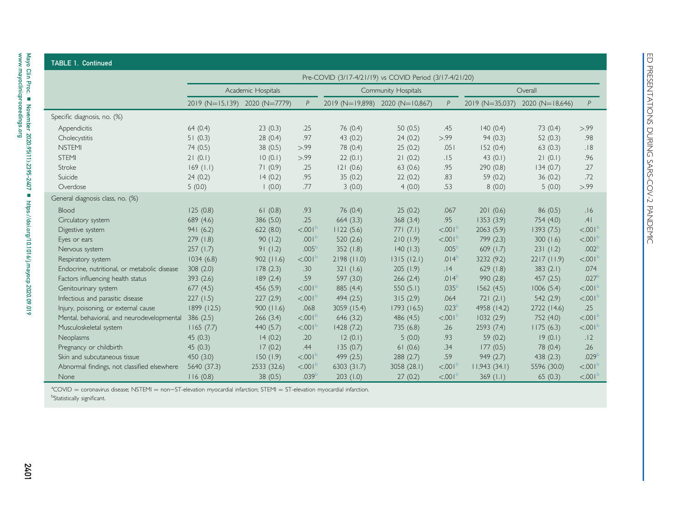| <b>TABLE 1. Continued</b>                    |                               |                    |                     |                                                         |                                 |                     |                 |                   |                     |
|----------------------------------------------|-------------------------------|--------------------|---------------------|---------------------------------------------------------|---------------------------------|---------------------|-----------------|-------------------|---------------------|
|                                              |                               |                    |                     | Pre-COVID (3/17-4/21/19) vs COVID Period (3/17-4/21/20) |                                 |                     |                 |                   |                     |
|                                              |                               | Academic Hospitals |                     |                                                         | <b>Community Hospitals</b>      |                     |                 | Overall           |                     |
|                                              | 2019 (N=15,139) 2020 (N=7779) |                    | $\, P$              |                                                         | 2019 (N=19,898) 2020 (N=10,867) | P                   | 2019 (N=35,037) | $2020$ (N=18,646) | P                   |
| Specific diagnosis, no. (%)                  |                               |                    |                     |                                                         |                                 |                     |                 |                   |                     |
| Appendicitis                                 | 64 (0.4)                      | 23(0.3)            | .25                 | 76 (0.4)                                                | 50(0.5)                         | .45                 | 140(0.4)        | 73 (0.4)          | > 99                |
| Cholecystitis                                | 51(0.3)                       | 28(0.4)            | .97                 | 43(0.2)                                                 | 24(0.2)                         | > .99               | 94(0.3)         | 52(0.3)           | .98                 |
| <b>NSTEMI</b>                                | 74 (0.5)                      | 38(0.5)            | > .99               | 78 (0.4)                                                | 25(0.2)                         | .051                | 152(0.4)        | 63(0.3)           | .18                 |
| <b>STEMI</b>                                 | 21(0.1)                       | 10(0.1)            | > 0.99              | 22(0.1)                                                 | 21(0.2)                         | .15                 | 43 $(0.1)$      | 21(0.1)           | .96                 |
| Stroke                                       | $169$ (1.1)                   | 71(0.9)            | .25                 | 121(0.6)                                                | 63(0.6)                         | .95                 | 290(0.8)        | 134(0.7)          | .27                 |
| Suicide                                      | 24(0.2)                       | 14(0.2)            | .95                 | 35(0.2)                                                 | 22(0.2)                         | .83                 | 59(0.2)         | 36(0.2)           | .72                 |
| Overdose                                     | 5(0.0)                        | (0.0)              | .77                 | 3(0.0)                                                  | 4(0.0)                          | .53                 | 8(0.0)          | 5(0.0)            | > 0.99              |
| General diagnosis class, no. (%)             |                               |                    |                     |                                                         |                                 |                     |                 |                   |                     |
| Blood                                        | 125(0.8)                      | 61(0.8)            | .93                 | 76(0.4)                                                 | 25(0.2)                         | .067                | 201(0.6)        | 86 (0.5)          | .16                 |
| Circulatory system                           | 689 (4.6)                     | 386 (5.0)          | .25                 | 664(3.3)                                                | 368 (3.4)                       | .95                 | 1353(3.9)       | 754 (4.0)         | .41                 |
| Digestive system                             | 941 (6.2)                     | 622(8.0)           | $<$ .001 $^{\circ}$ | 1122(5.6)                                               | 771(7.1)                        | < 001 <sup>b</sup>  | 2063(5.9)       | 1393(7.5)         | < 001 <sup>b</sup>  |
| Eyes or ears                                 | 279(1.8)                      | 90(1.2)            | .001 <sup>b</sup>   | 520(2.6)                                                | 210(1.9)                        | < 0.01 <sup>b</sup> | 799 (2.3)       | 300 $(1.6)$       | < 0.01 <sup>b</sup> |
| Nervous system                               | 257(1.7)                      | 91(1.2)            | .005 <sup>b</sup>   | 352(1.8)                                                | 140(1.3)                        | .005 <sup>b</sup>   | 609(1.7)        | 231(1.2)          | .002 <sup>b</sup>   |
| Respiratory system                           | 1034(6.8)                     | 902(11.6)          | < 001 <sup>b</sup>  | 2198(11.0)                                              | 1315(12.1)                      | $.014^{b}$          | 3232 (9.2)      | 2217(11.9)        | < 001 <sup>b</sup>  |
| Endocrine, nutritional, or metabolic disease | 308(2.0)                      | 178(2.3)           | .30                 | 321(1.6)                                                | 205(1.9)                        | .14                 | 629(1.8)        | 383(2.1)          | .074                |
| Factors influencing health status            | 393 (2.6)                     | 189(2.4)           | .59                 | 597 (3.0)                                               | 266(2.4)                        | $.014^{b}$          | 990(2.8)        | 457 (2.5)         | .027 <sup>b</sup>   |
| Genitourinary system                         | 677(4.5)                      | 456 (5.9)          | < 0.01 <sup>b</sup> | 885 (4.4)                                               | 550 $(5.1)$                     | .035 <sup>b</sup>   | 1562(4.5)       | 1006(5.4)         | < 001 <sup>b</sup>  |
| Infectious and parasitic disease             | 227(1.5)                      | 227(2.9)           | < 0.01 <sup>b</sup> | 494 (2.5)                                               | 315(2.9)                        | .064                | 721(2.1)        | 542 (2.9)         | < 001 <sup>b</sup>  |
| Injury, poisoning, or external cause         | 1899 (12.5)                   | 900(11.6)          | .068                | 3059 (15.4)                                             | 1793(16.5)                      | .023 <sup>b</sup>   | 4958 (14.2)     | 2722 (14.6)       | .25                 |
| Mental, behavioral, and neurodevelopmental   | 386 (2.5)                     | 266(3.4)           | < 001 <sup>b</sup>  | 646 (3.2)                                               | 486 (4.5)                       | < 001 <sup>b</sup>  | 1032(2.9)       | 752 (4.0)         | < 001 <sup>b</sup>  |
| Musculoskeletal system                       | 1165(7.7)                     | 440 (5.7)          | < 001 <sup>b</sup>  | 1428(7.2)                                               | 735 (6.8)                       | .26                 | 2593(7.4)       | 1175(6.3)         | < 001 <sup>b</sup>  |
| Neoplasms                                    | 45(0.3)                       | 14(0.2)            | .20                 | 12(0.1)                                                 | 5(0.0)                          | .93                 | 59(0.2)         | 19(0.1)           | .12                 |
| Pregnancy or childbirth                      | 45(0.3)                       | 17(0.2)            | .44                 | 135(0.7)                                                | 61(0.6)                         | .34                 | 177(0.5)        | 78 (0.4)          | .26                 |
| Skin and subcutaneous tissue                 | 450 (3.0)                     | 150(1.9)           | < 001 <sup>b</sup>  | 499 (2.5)                                               | 288(2.7)                        | .59                 | 949(2.7)        | 438(2.3)          | .029 <sup>b</sup>   |
| Abnormal findings, not classified elsewhere  | 5640 (37.3)                   | 2533 (32.6)        | $<$ .001 $^{\circ}$ | 6303 (31.7)                                             | 3058 (28.1)                     | < 0.001             | 11,943(34.1)    | 5596 (30.0)       | < 001 <sup>b</sup>  |
| None                                         | 116(0.8)                      | 38 (0.5)           | .039 <sup>b</sup>   | 203(1.0)                                                | 27(0.2)                         | < 0.01 <sup>b</sup> | $369$ (1.1)     | 65(0.3)           | < 001 <sup>b</sup>  |

<span id="page-6-1"></span><span id="page-6-0"></span>ªCOVID = coronavirus disease; NSTEMI = non—ST-elevation myocardial infarction; STEMI = ST-elevation myocardial infarction. **b**<br>Statistically significant.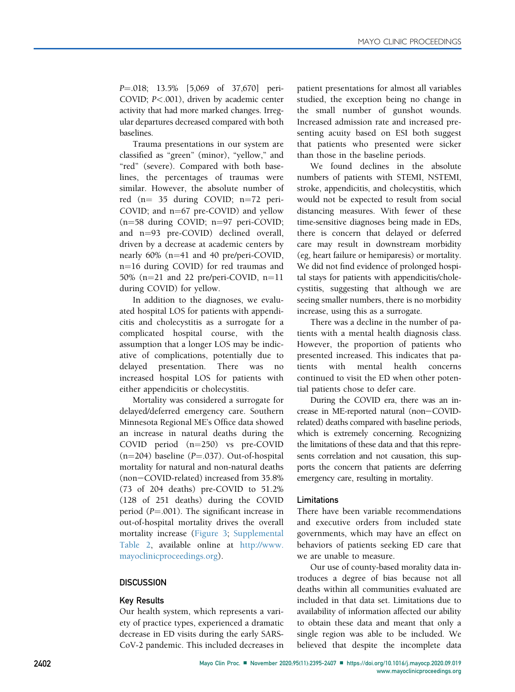P=.018; 13.5% [5,069 of 37,670] peri-COVID; P<.001), driven by academic center activity that had more marked changes. Irregular departures decreased compared with both baselines.

Trauma presentations in our system are classified as "green" (minor), "yellow," and "red" (severe). Compared with both baselines, the percentages of traumas were similar. However, the absolute number of red (n =  $35$  during COVID; n =  $72$  peri-COVID; and  $n=67$  pre-COVID) and yellow (n=58 during COVID; n=97 peri-COVID; and  $n=93$  pre-COVID) declined overall, driven by a decrease at academic centers by nearly 60% (n=41 and 40 pre/peri-COVID, n=16 during COVID) for red traumas and 50% (n=21 and 22 pre/peri-COVID, n=11 during COVID) for yellow.

In addition to the diagnoses, we evaluated hospital LOS for patients with appendicitis and cholecystitis as a surrogate for a complicated hospital course, with the assumption that a longer LOS may be indicative of complications, potentially due to delayed presentation. There was no increased hospital LOS for patients with either appendicitis or cholecystitis.

Mortality was considered a surrogate for delayed/deferred emergency care. Southern Minnesota Regional ME's Office data showed an increase in natural deaths during the COVID period  $(n=250)$  vs pre-COVID  $(n=204)$  baseline (P=.037). Out-of-hospital mortality for natural and non-natural deaths (non-COVID-related) increased from 35.8% (73 of 204 deaths) pre-COVID to 51.2% (128 of 251 deaths) during the COVID period  $(P=.001)$ . The significant increase in out-of-hospital mortality drives the overall mortality increase ([Figure 3](#page-11-0); Supplemental Table 2, available online at [http://www.](http://www.mayoclinicproceedings.org) [mayoclinicproceedings.org\)](http://www.mayoclinicproceedings.org).

# **DISCUSSION**

# Key Results

Our health system, which represents a variety of practice types, experienced a dramatic decrease in ED visits during the early SARS-CoV-2 pandemic. This included decreases in

patient presentations for almost all variables studied, the exception being no change in the small number of gunshot wounds. Increased admission rate and increased presenting acuity based on ESI both suggest that patients who presented were sicker than those in the baseline periods.

We found declines in the absolute numbers of patients with STEMI, NSTEMI, stroke, appendicitis, and cholecystitis, which would not be expected to result from social distancing measures. With fewer of these time-sensitive diagnoses being made in EDs, there is concern that delayed or deferred care may result in downstream morbidity (eg, heart failure or hemiparesis) or mortality. We did not find evidence of prolonged hospital stays for patients with appendicitis/cholecystitis, suggesting that although we are seeing smaller numbers, there is no morbidity increase, using this as a surrogate.

There was a decline in the number of patients with a mental health diagnosis class. However, the proportion of patients who presented increased. This indicates that patients with mental health concerns continued to visit the ED when other potential patients chose to defer care.

During the COVID era, there was an increase in ME-reported natural (non-COVIDrelated) deaths compared with baseline periods, which is extremely concerning. Recognizing the limitations of these data and that this represents correlation and not causation, this supports the concern that patients are deferring emergency care, resulting in mortality.

# Limitations

There have been variable recommendations and executive orders from included state governments, which may have an effect on behaviors of patients seeking ED care that we are unable to measure.

Our use of county-based morality data introduces a degree of bias because not all deaths within all communities evaluated are included in that data set. Limitations due to availability of information affected our ability to obtain these data and meant that only a single region was able to be included. We believed that despite the incomplete data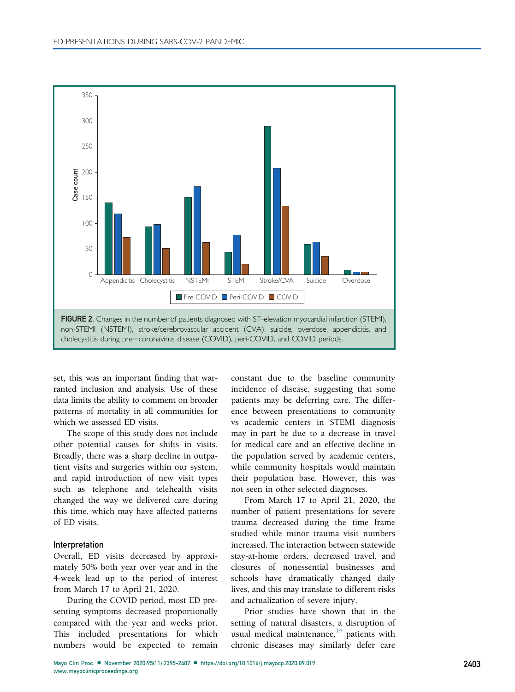<span id="page-8-0"></span>

set, this was an important finding that warranted inclusion and analysis. Use of these data limits the ability to comment on broader patterns of mortality in all communities for which we assessed ED visits.

The scope of this study does not include other potential causes for shifts in visits. Broadly, there was a sharp decline in outpatient visits and surgeries within our system, and rapid introduction of new visit types such as telephone and telehealth visits changed the way we delivered care during this time, which may have affected patterns of ED visits.

## Interpretation

Overall, ED visits decreased by approximately 50% both year over year and in the 4-week lead up to the period of interest from March 17 to April 21, 2020.

During the COVID period, most ED presenting symptoms decreased proportionally compared with the year and weeks prior. This included presentations for which numbers would be expected to remain

constant due to the baseline community incidence of disease, suggesting that some patients may be deferring care. The difference between presentations to community vs academic centers in STEMI diagnosis may in part be due to a decrease in travel for medical care and an effective decline in the population served by academic centers, while community hospitals would maintain their population base. However, this was not seen in other selected diagnoses.

From March 17 to April 21, 2020, the number of patient presentations for severe trauma decreased during the time frame studied while minor trauma visit numbers increased. The interaction between statewide stay-at-home orders, decreased travel, and closures of nonessential businesses and schools have dramatically changed daily lives, and this may translate to different risks and actualization of severe injury.

Prior studies have shown that in the setting of natural disasters, a disruption of usual medical maintenance, $14$  patients with chronic diseases may similarly defer care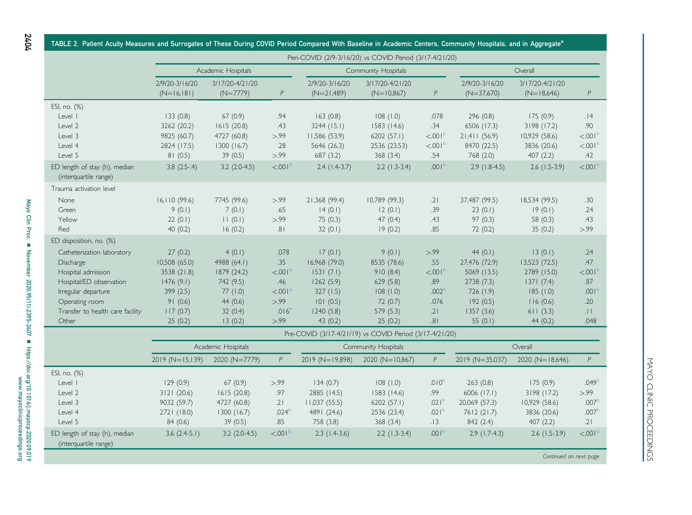<span id="page-9-0"></span>

|                                |                                                                            |                                                                                             |                                |                                                                |                                                                                                                          |                                | Overall                                                                                                                                                                               |                                                     |
|--------------------------------|----------------------------------------------------------------------------|---------------------------------------------------------------------------------------------|--------------------------------|----------------------------------------------------------------|--------------------------------------------------------------------------------------------------------------------------|--------------------------------|---------------------------------------------------------------------------------------------------------------------------------------------------------------------------------------|-----------------------------------------------------|
| 2/9/20-3/16/20<br>$(N=16,181)$ | 3/17/20-4/21/20<br>$(N=7779)$                                              | P                                                                                           | 2/9/20-3/16/20<br>$(N=21,489)$ | 3/17/20-4/21/20<br>$(N=10,867)$                                | P                                                                                                                        | 2/9/20-3/16/20<br>$(N=37,670)$ | 3/17/20-4/21/20<br>$(N=18,646)$                                                                                                                                                       | P                                                   |
|                                |                                                                            |                                                                                             |                                |                                                                |                                                                                                                          |                                |                                                                                                                                                                                       |                                                     |
| 133(0.8)                       | 67(0.9)                                                                    | .94                                                                                         | 163(0.8)                       | 108(1.0)                                                       | .078                                                                                                                     | 296 (0.8)                      | 175(0.9)                                                                                                                                                                              | .14                                                 |
| 3262 (20.2)                    | 1615(20.8)                                                                 | .43                                                                                         | 3244 (15.1)                    | 1583 (14.6)                                                    | .34                                                                                                                      | 6506 (17.3)                    | 3198 (17.2)                                                                                                                                                                           | .90                                                 |
| 9825 (60.7)                    | 4727 (60.8)                                                                | > 99                                                                                        | 11,586(53.9)                   | 6202(57.1)                                                     | < 0.01 <sup>b</sup>                                                                                                      | 21,411(56.9)                   | 10,929(58.6)                                                                                                                                                                          | < 0.01 <sup>b</sup>                                 |
| 2824 (17.5)                    | 1300(16.7)                                                                 | .28                                                                                         | 5646 (26.3)                    | 2536 (23.53)                                                   | $< 0.001^{\circ}$                                                                                                        | 8470 (22.5)                    | 3836 (20.6)                                                                                                                                                                           | $< .001$ <sup>t</sup>                               |
| 81(0.5)                        | 39(0.5)                                                                    | > 99                                                                                        | 687 (3.2)                      | 368(3.4)                                                       | .54                                                                                                                      | 768 (2.0)                      | 407(2.2)                                                                                                                                                                              | .42                                                 |
| $3.8$ $(2.5-.4)$               | $3.2$ (2.0-4.5)                                                            | < 001 <sup>b</sup>                                                                          | $2.4(1.4-3.7)$                 | $2.2$ (1.3-3.4)                                                | .001 <sup>b</sup>                                                                                                        | $2.9$ (1.8-4.5)                | $2.6$ (1.5-3.9)                                                                                                                                                                       | < 001 <sup>b</sup>                                  |
|                                |                                                                            |                                                                                             |                                |                                                                |                                                                                                                          |                                |                                                                                                                                                                                       |                                                     |
|                                |                                                                            | > 99                                                                                        |                                |                                                                | .21                                                                                                                      |                                |                                                                                                                                                                                       | .30                                                 |
|                                |                                                                            | .65                                                                                         |                                |                                                                | .39                                                                                                                      |                                |                                                                                                                                                                                       | .24                                                 |
|                                |                                                                            |                                                                                             |                                |                                                                | .43                                                                                                                      |                                |                                                                                                                                                                                       | .43                                                 |
| 40(0.2)                        | 16(0.2)                                                                    | .81                                                                                         | 32(0.1)                        | 19(0.2)                                                        | .85                                                                                                                      | 72(0.2)                        | 35(0.2)                                                                                                                                                                               | > 0.99                                              |
|                                |                                                                            |                                                                                             |                                |                                                                |                                                                                                                          |                                |                                                                                                                                                                                       |                                                     |
| 27(0.2)                        | 4(0.1)                                                                     | .078                                                                                        | 17(0.1)                        | 9(0.1)                                                         | > .99                                                                                                                    | 44 $(0.1)$                     | 13(0.1)                                                                                                                                                                               | .24                                                 |
| 10,508(65.0)                   | 4988 (64.1)                                                                | .35                                                                                         | 16,968 (79.0)                  | 8535 (78.6)                                                    | .55                                                                                                                      | 27,476 (72.9)                  | 13,523(72.5)                                                                                                                                                                          | .47                                                 |
|                                |                                                                            | $< 0.001^{\circ}$                                                                           |                                |                                                                | $< 0.001^{\circ}$                                                                                                        |                                |                                                                                                                                                                                       | < 0.001                                             |
|                                | 742 (9.5)                                                                  | .46                                                                                         |                                |                                                                | .89                                                                                                                      | 2738(7.3)                      | 1371(7.4)                                                                                                                                                                             | .87                                                 |
|                                | 77(1.0)                                                                    | < 001 <sup>b</sup>                                                                          | 327(1.5)                       | 108(1.0)                                                       | .002 <sup>b</sup>                                                                                                        |                                | 185(1.0)                                                                                                                                                                              | .001                                                |
| 91(0.6)                        | 44 $(0.6)$                                                                 | > 0.99                                                                                      | 101(0.5)                       | 72(0.7)                                                        | .076                                                                                                                     | 192(0.5)                       | 116(0.6)                                                                                                                                                                              | .20                                                 |
| 117(0.7)                       | 32(0.4)                                                                    | $.016^{b}$                                                                                  | 1240(5.8)                      | 579 (5.3)                                                      | .21                                                                                                                      | 1357(3.6)                      | 611(3.3)                                                                                                                                                                              | .11                                                 |
| 25(0.2)                        | 13(0.2)                                                                    | > 99                                                                                        | 43(0.2)                        | 25(0.2)                                                        | 8.                                                                                                                       | 55 $(0.1)$                     | 44(0.2)                                                                                                                                                                               | .048                                                |
|                                |                                                                            |                                                                                             |                                |                                                                |                                                                                                                          |                                |                                                                                                                                                                                       |                                                     |
|                                |                                                                            |                                                                                             |                                |                                                                |                                                                                                                          |                                | Overall                                                                                                                                                                               |                                                     |
| $2019 (N=15,139)$              | 2020 (N=7779)                                                              | P                                                                                           | $2019$ (N=19,898)              | 2020 ( $N=10,867$ )                                            | P                                                                                                                        | 2019 (N=35,037)                | 2020 ( $N=18,646$ )                                                                                                                                                                   | P                                                   |
|                                |                                                                            |                                                                                             |                                |                                                                |                                                                                                                          |                                |                                                                                                                                                                                       |                                                     |
| 129(0.9)                       | 67(0.9)                                                                    | > 99                                                                                        | 134(0.7)                       | 108(1.0)                                                       | .010 <sup>b</sup>                                                                                                        | 263(0.8)                       | 175(0.9)                                                                                                                                                                              | .049 <sup>b</sup>                                   |
| 3121(20.6)                     | 1615(20.8)                                                                 | .97                                                                                         | 2885 (14.5)                    | 1583(14.6)                                                     | .99                                                                                                                      | $6006$ (17.1)                  | 3198 (17.2)                                                                                                                                                                           | > 99                                                |
| 9032 (59.7)                    | 4727 (60.8)                                                                | .21                                                                                         | 11,037(55.5)                   | 6202 (57.1)                                                    | .021 <sup>b</sup>                                                                                                        | 20,069 (57.3)                  | 10,929 (58.6)                                                                                                                                                                         | .007 <sup>b</sup>                                   |
| 2721 (18.0)                    | 1300(16.7)                                                                 | .024 <sup>b</sup>                                                                           | 4891 (24.6)                    | 2536 (23.4)                                                    | .021 <sup>b</sup>                                                                                                        | 7612 (21.7)                    | 3836 (20.6)                                                                                                                                                                           | .007 <sup>b</sup>                                   |
| 84 (0.6)                       | 39(0.5)                                                                    | .85                                                                                         | 758 (3.8)                      | 368(3.4)                                                       | .13                                                                                                                      | 842 (2.4)                      | 407(2.2)                                                                                                                                                                              | .21                                                 |
| $3.6(2.4-5.1)$                 | $3.2(2.0-4.5)$                                                             | $< 0.001$ <sup>b</sup>                                                                      | $2.3(1.4-3.6)$                 | $2.2$ (1.3-3.4)                                                | .001 <sup>b</sup>                                                                                                        | $2.9$ (1.7-4.3)                | $2.6$ (1.5-3.9)                                                                                                                                                                       | $< 0.01$ <sup>t</sup>                               |
|                                | 16,110(99.6)<br>9(0.1)<br>22(0.1)<br>3538 (21.8)<br>1476(9.1)<br>399 (2.5) | Academic Hospitals<br>7745 (99.6)<br>7(0.1)<br>11(0.1)<br>1879 (24.2)<br>Academic Hospitals | > .99                          | 21,368 (99.4)<br>14(0.1)<br>75 (0.3)<br>1531(7.1)<br>1262(5.9) | <b>Community Hospitals</b><br>10,789 (99.3)<br>12(0.1)<br>47 (0.4)<br>910(8.4)<br>629(5.8)<br><b>Community Hospitals</b> |                                | Peri-COVID (2/9-3/16/20) vs COVID Period (3/17-4/21/20)<br>37,487 (99.5)<br>23(0.1)<br>97(0.3)<br>5069 (13.5)<br>726 (1.9)<br>Pre-COVID (3/17-4/21/19) vs COVID Period (3/17-4/21/20) | 18,534 (99.5)<br>19(0.1)<br>58 (0.3)<br>2789 (15.0) |

Continued on next page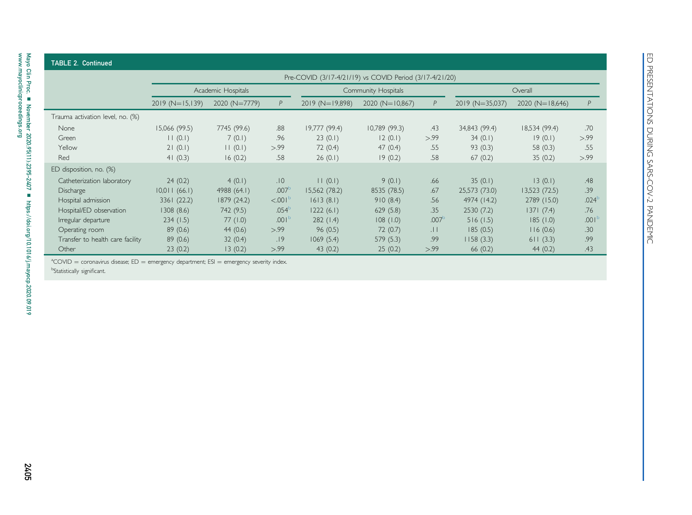<span id="page-10-1"></span><span id="page-10-0"></span>

| ו<br>ו                          |
|---------------------------------|
|                                 |
|                                 |
| J<br>I<br>.<br>.<br>.<br>.<br>l |
| ו<br>ו                          |
|                                 |
|                                 |
|                                 |
| $\frac{1}{2}$                   |
|                                 |
|                                 |
|                                 |
| コースニュン フクニュュム しりこくけつ            |
| ニラテラ                            |
|                                 |
|                                 |
|                                 |
|                                 |
| )<br>J                          |
| ś                               |
|                                 |
|                                 |
|                                 |
|                                 |
|                                 |
| $\ddot{\phantom{0}}$<br>I       |
|                                 |
| <br> <br> -<br>1                |
| ı                               |
| í                               |

|                                                                                                                                                  |                   | Academic Hospitals |                     | Pre-COVID (3/17-4/21/19) vs COVID Period (3/17-4/21/20) | Community Hospitals |                   | Overall         |                  |                   |
|--------------------------------------------------------------------------------------------------------------------------------------------------|-------------------|--------------------|---------------------|---------------------------------------------------------|---------------------|-------------------|-----------------|------------------|-------------------|
|                                                                                                                                                  | $2019 (N=15,139)$ | 2020 (N=7779)      | P                   | 2019 (N=19,898)                                         | $2020(N=10,867)$    | P                 | 2019 (N=35,037) | $2020(N=18,646)$ | P                 |
| Trauma activation level, no. (%)                                                                                                                 |                   |                    |                     |                                                         |                     |                   |                 |                  |                   |
| None                                                                                                                                             | 15,066 (99.5)     | 7745 (99.6)        | .88                 | $19,777$ (99.4)                                         | 10,789(99.3)        | .43               | 34,843 (99.4)   | 18,534 (99.4)    | .70               |
| Green                                                                                                                                            | 11(0.1)           | 7(0.1)             | .96                 | 23(0.1)                                                 | 12(0.1)             | > 99              | 34(0.1)         | 19(0.1)          | > 99              |
| Yellow                                                                                                                                           | 21(0.1)           | 11(0.1)            | > 99                | 72(0.4)                                                 | 47(0.4)             | .55               | 93(0.3)         | 58 $(0.3)$       | .55               |
| Red                                                                                                                                              | 41(0.3)           | 16(0.2)            | .58                 | 26(0.1)                                                 | 19(0.2)             | .58               | 67(0.2)         | 35(0.2)          | > 99              |
| ED disposition, no. (%)                                                                                                                          |                   |                    |                     |                                                         |                     |                   |                 |                  |                   |
| Catheterization laboratory                                                                                                                       | 24(0.2)           | 4(0.1)             | .10                 | 11(0.1)                                                 | 9(0.1)              | .66               | 35(0.1)         | 13(0.1)          | .48               |
| <b>Discharge</b>                                                                                                                                 | 10,011(66.1)      | 4988 (64.1)        | .007 <sup>b</sup>   | 15,562 (78.2)                                           | 8535 (78.5)         | .67               | 25,573 (73.0)   | 13,523(72.5)     | .39               |
| Hospital admission                                                                                                                               | 3361 (22.2)       | 1879 (24.2)        | < 0.01 <sup>b</sup> | 1613(8.1)                                               | 910(8.4)            | .56               | 4974 (14.2)     | 2789 (15.0)      | .024 <sup>b</sup> |
| Hospital/ED observation                                                                                                                          | 1308(8.6)         | 742 (9.5)          | $.054^b$            | 1222(6.1)                                               | 629(5.8)            | .35               | 2530(7.2)       | 1371(7.4)        | .76               |
| Irregular departure                                                                                                                              | 234(1.5)          | 77(1.0)            | .001 <sup>b</sup>   | 282(1.4)                                                | 108(1.0)            | .007 <sup>b</sup> | 516(1.5)        | 185(1.0)         | .001 <sup>b</sup> |
| Operating room                                                                                                                                   | 89 (0.6)          | 44 $(0.6)$         | > 0.99              | 96(0.5)                                                 | 72(0.7)             | .11               | 185(0.5)        | 116(0.6)         | .30               |
| Transfer to health care facility                                                                                                                 | 89(0.6)           | 32(0.4)            | .19                 | 1069(5.4)                                               | 579 (5.3)           | .99               | 1158(3.3)       | 611(3.3)         | .99               |
| Other                                                                                                                                            | 23(0.2)           | 13(0.2)            | > 99                | 43(0.2)                                                 | 25(0.2)             | > .99             | 66 (0.2)        | 44(0.2)          | .43               |
| $^{\text{a}}$ COVID = coronavirus disease; ED = emergency department; ESI = emergency severity index.<br><sup>b</sup> Statistically significant. |                   |                    |                     |                                                         |                     |                   |                 |                  |                   |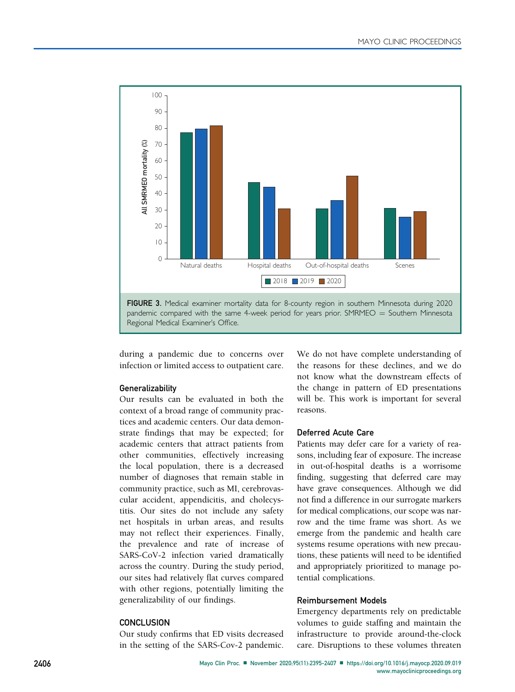<span id="page-11-0"></span>

during a pandemic due to concerns over infection or limited access to outpatient care.

## **Generalizability**

Our results can be evaluated in both the context of a broad range of community practices and academic centers. Our data demonstrate findings that may be expected; for academic centers that attract patients from other communities, effectively increasing the local population, there is a decreased number of diagnoses that remain stable in community practice, such as MI, cerebrovascular accident, appendicitis, and cholecystitis. Our sites do not include any safety net hospitals in urban areas, and results may not reflect their experiences. Finally, the prevalence and rate of increase of SARS-CoV-2 infection varied dramatically across the country. During the study period, our sites had relatively flat curves compared with other regions, potentially limiting the generalizability of our findings.

## **CONCLUSION**

Our study confirms that ED visits decreased in the setting of the SARS-Cov-2 pandemic.

We do not have complete understanding of the reasons for these declines, and we do not know what the downstream effects of the change in pattern of ED presentations will be. This work is important for several reasons.

# Deferred Acute Care

Patients may defer care for a variety of reasons, including fear of exposure. The increase in out-of-hospital deaths is a worrisome finding, suggesting that deferred care may have grave consequences. Although we did not find a difference in our surrogate markers for medical complications, our scope was narrow and the time frame was short. As we emerge from the pandemic and health care systems resume operations with new precautions, these patients will need to be identified and appropriately prioritized to manage potential complications.

## Reimbursement Models

Emergency departments rely on predictable volumes to guide staffing and maintain the infrastructure to provide around-the-clock care. Disruptions to these volumes threaten